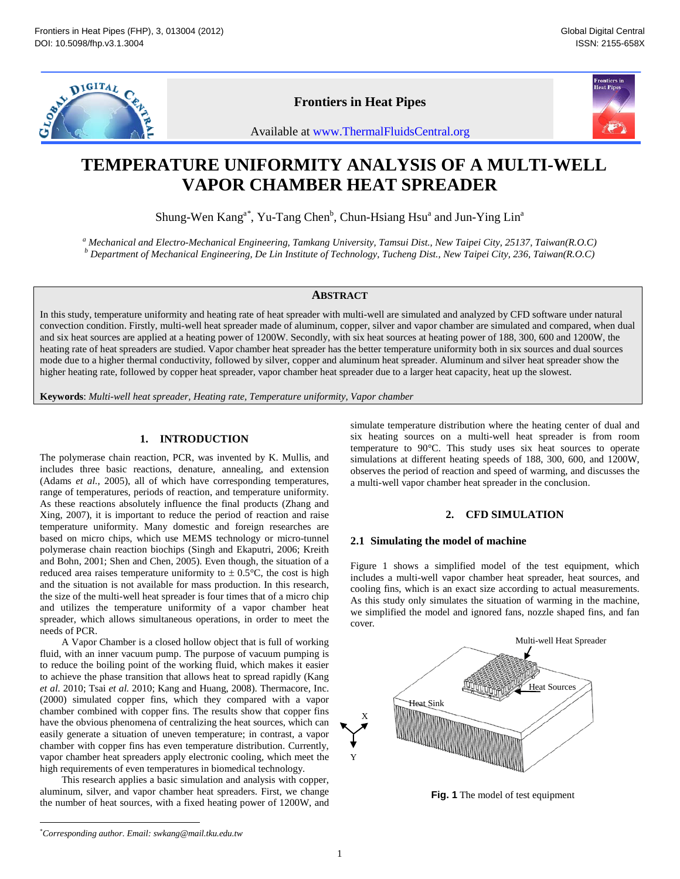

## **Frontiers in Heat Pipes**



# **TEMPERATURE UNIFORMITY ANALYSIS OF A MULTI-WELL VAPOR CHAMBER HEAT SPREADER**

Shung-Wen Kang<sup>a\*</sup>, Yu-Tang Chen<sup>b</sup>, Chun-Hsiang Hsu<sup>a</sup> and Jun-Ying Lin<sup>a</sup>

<sup>a</sup> Mechanical and Electro-Mechanical Engineering, Tamkang University, Tamsui Dist., New Taipei City, 25137, Taiwan(R.O.C) *<sup>b</sup> Department of Mechanical Engineering , De Lin Institute of Technology, Tucheng Dist., New Taipei City, 236, Taiwan(R.O.C)*

## **ABSTRACT**

In this study, temperature uniformity and heating rate of heat spreader with multi -well are simulated and analyzed by CFD software under natural convection condition. Firstly, multi -well heat spreader made of aluminum, copper, silver and vapor chamber are simulated and compared, when dual and six heat sources are applied at a heating power of 1200W. Secondly, with six heat sources at heating power of 188, 300, 600 and 1200W, the heating rate of heat spreaders are studied. Vapor chamber heat spreader has the better temperature uniformity both in six sources and dual sources mode due to a higher thermal conductivity, followed by silver, copper and aluminum heat spreader. Aluminum and silver heat spreader show the higher heating rate, followed by copper heat spreader, vapor chamber heat spreader due to a larger heat capacity, heat up the slowest. Available at www.ThermalFluidsCentral.org<br> **IFORMITY ANALYSIS OF**<br> **CHAMBER HEAT SPREAD**<br>
STRIP (SOMATIVE ANT SURFAD)<br>
THEAMBER HEAT SPREAD<br>
THEAMBER HEAT SPREAD<br>
TO USE UNIT ANTER SURFACE CONDITION CONTINUATION CONDITION

**Keywords**: *Multi-well heat spreader, Heating rate, Temperature uniformity, Vapor chamber* 

## **1. INTRODUCTION**

The polymerase chain reaction, PCR, was invented by K. Mullis, and includes three basic reactions, denature, annealing, and extension (Adams *et al.*, 2005), all of which have corresponding temperatures, range of temperatures, periods of reaction, and temperature uniformity. As these reactions absolutely influence the final products (Zhang and Xing, 2007), it is important to reduce the period of reaction and raise temperature uniformity. Many domestic and foreign researches are based on micro chips, which use MEMS technology or micro -tunnel polymerase chain reaction biochips (Singh and Ekaputri, 2006; Kreith and Bohn, 2001; Shen and Chen, 2005). Even though, the situation of a reduced area raises temperature uniformity to  $\pm$  0.5 $\degree$ C, the cost is high and the situation is not available for mass production. In this research, the size of the multi -well heat spreader is four times that of a micro chip and utilizes the temperature uniformity of a vapor chamber heat spreader, which allows simultaneous operations, in order to meet the needs of PCR.

A Vapor Chamber is a closed hollow object that is full of working fluid, with an inner vacuum pump. The purpose of vacuum pumping is to reduce the boiling point of the working fluid, which makes it easier to achieve the phase transition that allows heat to spread rapidly (Kang *et al.* 2010; Tsai *et al.* 2010; Kang and Huang , 2008). Thermacore, Inc. (2000) simulated copper fins, which they compared with a vapor chamber combined with copper fins. The results show that copper fins have the obvious phenomena of centralizing the heat sources, which can easily generate a situation of uneven temperature; in contrast, a vapor chamber with copper fins has even temperature distribution. Currently, vapor chamber heat spreaders apply electronic cooling, which meet the high requirements of even temperatures in biomedical technology.

This research applies a basic simulation and analysis with copper, aluminum, silver, and vapor chamber heat spreaders. First, we change the number of heat sources, with a fixed heating power of 1200W, and

simulate temperature distribution where the heating center of dual and six heating sources on a multi -well heat spreader is from room temperature to 90°C. This study uses six heat sources to operate simulations at different heating speeds of 188, 300, 600, and 1200W, observes the period of reaction and speed of warming, and discusses the a multi -well vapor chamber heat spreader in the conclusion.

## **2. CFD SIMULATION**

## **2.1 Simulating the model of machine**

Figure 1 shows a simplified model of the test equipment, which includes a multi -well vapor chamber heat spreader, heat sources, and cooling fins, which is an exact size according to actual measurements. As this study only simulates the situation of warming in the machine, we simplified the model and ignored fans, nozzle shaped fins, and fan cover.



**Fig . 1** The model of test equipment

 <sup>\*</sup> *Corresponding author. Email: swkang @mail.tku.edu.tw*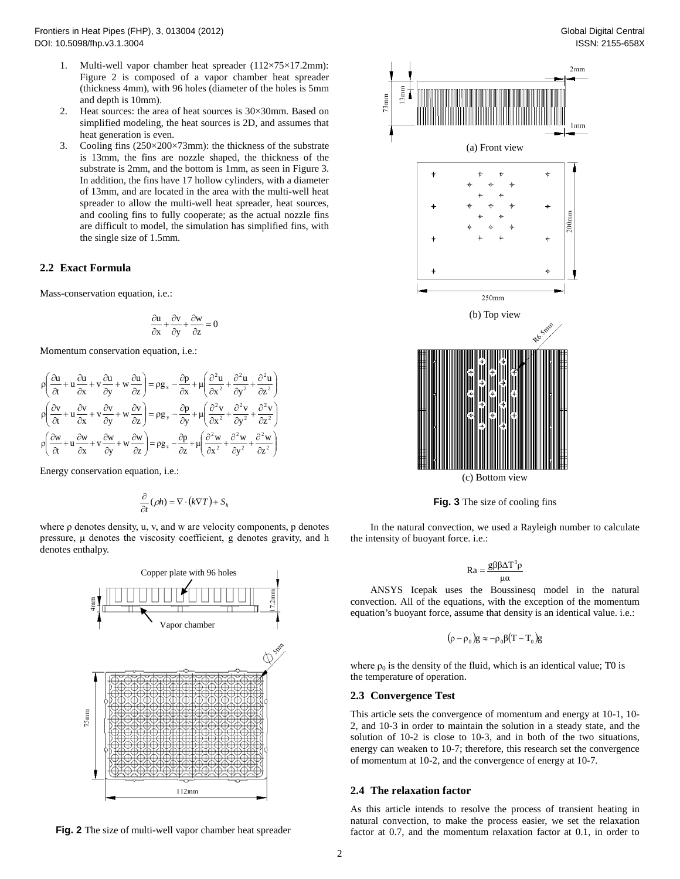- 1. Multi -well vapor chamber heat spreader (112×75×17.2mm): Figure 2 is composed of a vapor chamber heat spreader (thickness 4mm), with 96 holes (diameter of the holes is 5mm and depth is 10mm).
- 2. Heat sources: the area of heat sources is 30×30mm. Based on simplified modeling, the heat sources is 2D, and assumes that heat generation is even.
- 3. Cooling fins (250×200×73mm): the thickness of the substrate is 13mm, the fins are nozzle shaped, the thickness of the substrate is 2mm, and the bottom is 1mm, as seen in Figure 3. In addition, the fins have 17 hollow cylinders, with a diameter of 13mm, and are located in the area with the multi -well heat spreader to allow the multi -well heat spreader, heat sources, and cooling fins to fully cooperate; as the actual nozzle fins are difficult to model, the simulation has simplified fins, with the single size of 1.5mm.

## **2.2 Exact Formula**

Mass -conservation equation, i.e.:

$$
\frac{\partial u}{\partial x} + \frac{\partial v}{\partial y} + \frac{\partial w}{\partial z} = 0
$$

Momentum conservation equation, i.e.:

$$
\rho \left( \frac{\partial u}{\partial t} + u \frac{\partial u}{\partial x} + v \frac{\partial u}{\partial y} + w \frac{\partial u}{\partial z} \right) = \rho g_x - \frac{\partial p}{\partial x} + \mu \left( \frac{\partial^2 u}{\partial x^2} + \frac{\partial^2 u}{\partial y^2} + \frac{\partial^2 u}{\partial z^2} \right)
$$
\n
$$
\rho \left( \frac{\partial v}{\partial t} + u \frac{\partial v}{\partial x} + v \frac{\partial v}{\partial y} + w \frac{\partial v}{\partial z} \right) = \rho g_y - \frac{\partial p}{\partial y} + \mu \left( \frac{\partial^2 v}{\partial x^2} + \frac{\partial^2 v}{\partial y^2} + \frac{\partial^2 v}{\partial z^2} \right)
$$
\n
$$
\rho \left( \frac{\partial w}{\partial t} + u \frac{\partial w}{\partial x} + v \frac{\partial w}{\partial y} + w \frac{\partial w}{\partial z} \right) = \rho g_z - \frac{\partial p}{\partial z} + \mu \left( \frac{\partial^2 w}{\partial x^2} + \frac{\partial^2 w}{\partial y^2} + \frac{\partial^2 w}{\partial z^2} \right)
$$

Energy conservation equation, i.e.:

$$
\frac{\partial}{\partial t}(\rho h) = \nabla \cdot (k \nabla T) + S_h
$$

where  $\rho$  denotes density, u, v, and w are velocity components,  $\rho$  denotes pressure, μ denotes the viscosity coefficient, g denotes gravity, and h denotes enthalpy.



**Fig . 2** The size of multi -well vapor chamber heat spreader



**Fig . 3** The size of cooling fins

In the natural convection, we used a Rayleigh number to calculate the intensity of buoyant force. i.e.:

$$
Ra = \frac{g\beta\beta\Delta T^3\rho}{\mu\alpha}
$$

ANSYS Icepak uses the Boussinesq model in the natural convection. All of the equations, with the exception of the momentum equation's buoyant force, assume that density is an identical value. i.e.:

$$
(\rho - \rho_0)g \approx -\rho_0 \beta (T - T_0)g
$$

where  $\rho_0$  is the density of the fluid, which is an identical value; T0 is the temperature of operation.

#### **2.3 Convergence Test**

3mm

This article sets the convergence of momentum and energy at 10-1, 10-2, and 10 -3 in order to maintain the solution in a steady state, and the solution of 10 -2 is close to 10 -3, and in both of the two situations, energy can weaken to 10 -7; therefore, this research set the convergence of momentum at 10 -2, and the convergence of energy at 10 -7.

#### **2.4 The relaxation factor**

As this article intends to resolve the process of transient heating in natural convection, to make the process easier, we set the relaxation factor at 0.7, and the momentum relaxation factor at 0.1, in order to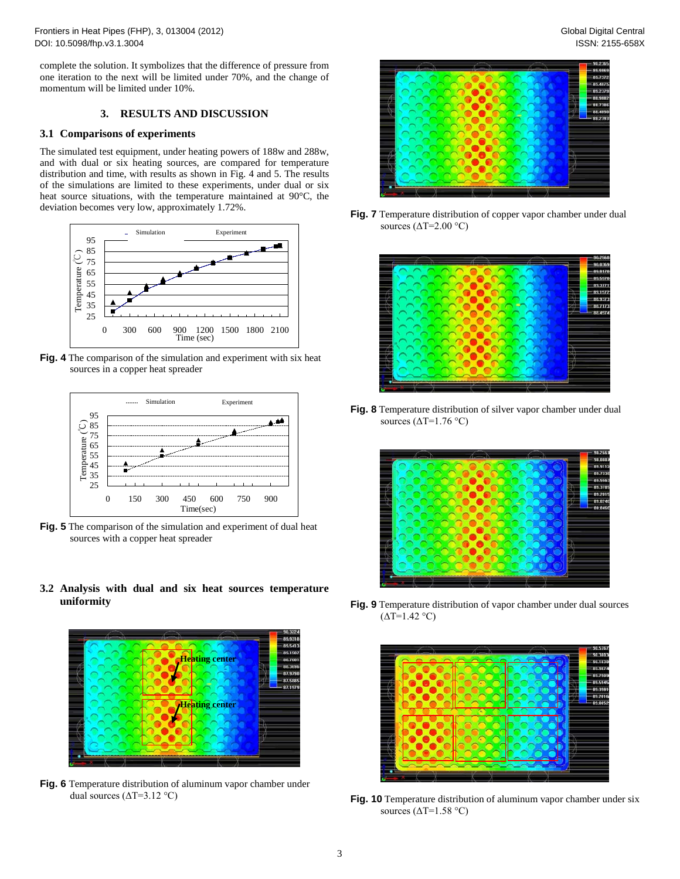Frontiers in Heat Pipes (FHP), 3, 013004 (2012) DOI: 10.5098/fhp.v3.1.3004

complete the solution. It symbolizes that the difference of pressure fro m one iteration to the next will be limited under 70%, and the change of momentum will be limited under 10%.

## **3. RESULTS AND DISCUSSION**

#### **3.1 Comparisons of experiments**

The simulated test equipment, under heating powers of 188w and 288w, and with dual or six heating sources, are compared for temperature distribution and time, with results as shown in Fig . 4 and 5. The results of the simulations are limited to these experiments, under dual or six heat source situations, with the temperature maintained at 90°C, the deviation becomes very low, approximately 1.72%.



**Fig . 4** The comparison of the simulation and experiment with six heat sources in a copper heat spreader



**Fig . 5** The comparison of the simulation and experiment of dual heat sources with a copper heat spreader

**3.2 Analysis with dual and six heat sources temperature uniformity**



**Fig . 6** Temperature distribution of aluminum vapor chamber under dual sources  $(\Delta T=3.12 \text{ °C})$ 



**Fig . 7** Temperature distribution of copper vapor chamber under dual sources  $(\Delta T = 2.00 \degree C)$ 



**Fig . 8** Temperature distribution of silver vapor chamber under dual sources  $(\Delta T=1.76 \degree C)$ 



**Fig . 9** Temperature distribution of vapor chamber under dual sources  $(\overline{\Delta T} = 1.42 \degree C)$ 



**Fig. 10** Temperature distribution of aluminum vapor chamber under six sources ( $\Delta T = 1.58$  °C)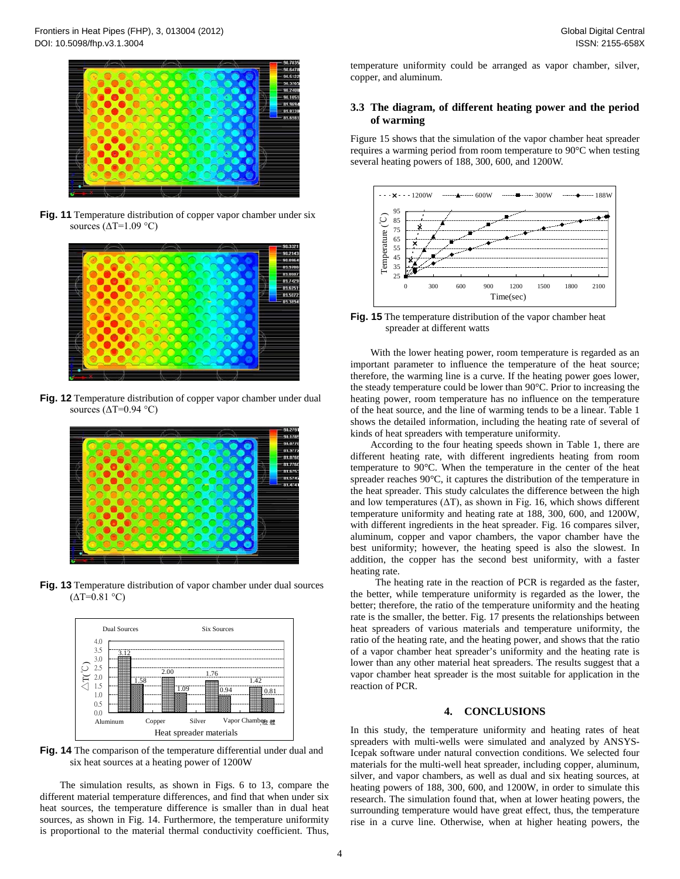

**Fig . 11** Temperature distribution of copper vapor chamber under six sources  $(\Delta T = 1.09 \degree C)$ 



**Fig . 12** Temperature distribution of copper vapor chamber under dual sources  $(\Delta T = 0.94 \degree C)$ 



**Fig . 13** Temperature distribution of vapor chamber under dual sources  $(\Delta T = 0.81 \degree C)$ 



**Fig . 14** The comparison of the temperature differential under dual and six heat sources at a heating power of 1200W

The simulation results, as shown in Fig s . 6 to 13, compare the different material temperature differences, and find that when under six heat sources, the temperature difference is smaller than in dual heat sources, as shown in Fig . 14. Furthermore, the temperature uniformity is proportional to the material thermal conductivity coefficient. Thus,

temperature uniformity could be arranged as vapor chamber, silver, copper, and aluminum.

## **3.3 The diagram, of different heating power and the period of warming**

Figure 1 5 shows that the simulation of the vapor chamber heat spreader requires a warming period from room temperature to 90°C when testing several heating powers of 188, 300, 600, and 1200W.



**Fig . 1 5** The temperature distribution of the vapor chamber heat spreader at different watts

With the lower heating power, room temperature is regarded as an important parameter to influence the temperature of the heat source; therefore, the warming line is a curve. If the heating power goes lower, the steady temperature could be lower than 90°C. Prior to increasing the heating power, room temperature has no influence on the temperature of the heat source, and the line of warming tends to be a linear. Table 1 shows the detailed information, including the heating rate of several of kinds of heat spreaders with temperature uniformity.

According to the four heating speeds shown in Table 1, there are different heating rate, with different ingredients heating from room temperature to 90°C. When the temperature in the center of the heat spreader reaches 90°C, it captures the distribution of the temperature in the heat spreader. This study calculates the difference between the high and low temperatures  $(\Delta T)$ , as shown in Fig. 16, which shows different temperature uniformity and heating rate at 188, 300, 600, and 1200W, with different ingredients in the heat spreader. Fig. 16 compares silver, aluminum , copper and vapor chambers, the vapor chamber have the best uniformity; however, the heating speed is also the slowest. In addition, the copper has the second best uniformity, with a faster heating rate .

The heating rate in the reaction of PCR is regarded as the faster, the better, while temperature uniformity is regarded as the lower, the better; therefore, the ratio of the temperature uniformity and the heating rate is the smaller, the better. Fig . 17 presents the relationships between heat spreaders of various materials and temperature uniformity, the ratio of the heating rate, and the heating power, and shows that the ratio of a vapor chamber heat spreader's uniformity and the heating rate is lower than any other material heat spreaders. The results suggest that a vapor chamber heat spreader is the most suitable for application in the reaction of PCR.

## **4. CONCLUSION S**

In this study, the temperature uniformity and heating rates of heat spreaders with multi -wells were simulated and analyzed by ANSYS - Icepak software under natural convection conditions. We selected four materials for the multi -well heat spreader, including copper, aluminum, silver, and vapor chambers, as well as dual and six heating sources, at heating powers of 188, 300, 600, and 1200W, in order to simulate this research. The simulation found that, when at lower heating powers, the surrounding temperature would have great effect, thus, the temperature rise in a curve line. Otherwise, when at higher heating powers, the